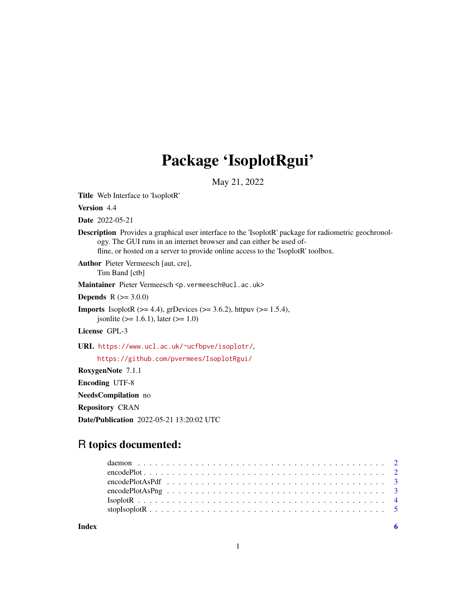# Package 'IsoplotRgui'

May 21, 2022

Title Web Interface to 'IsoplotR'

Version 4.4

Date 2022-05-21

Description Provides a graphical user interface to the 'IsoplotR' package for radiometric geochronology. The GUI runs in an internet browser and can either be used offline, or hosted on a server to provide online access to the 'IsoplotR' toolbox.

Author Pieter Vermeesch [aut, cre], Tim Band [ctb]

Maintainer Pieter Vermeesch <p. vermeesch@ucl.ac.uk>

**Depends** R  $(>= 3.0.0)$ 

**Imports** IsoplotR  $(>= 4.4)$ , grDevices  $(>= 3.6.2)$ , httpuv  $(>= 1.5.4)$ , jsonlite ( $> = 1.6.1$ ), later ( $>= 1.0$ )

License GPL-3

URL <https://www.ucl.ac.uk/~ucfbpve/isoplotr/>,

<https://github.com/pvermees/IsoplotRgui/>

RoxygenNote 7.1.1

Encoding UTF-8

NeedsCompilation no

Repository CRAN

Date/Publication 2022-05-21 13:20:02 UTC

# R topics documented:

| Index |  |
|-------|--|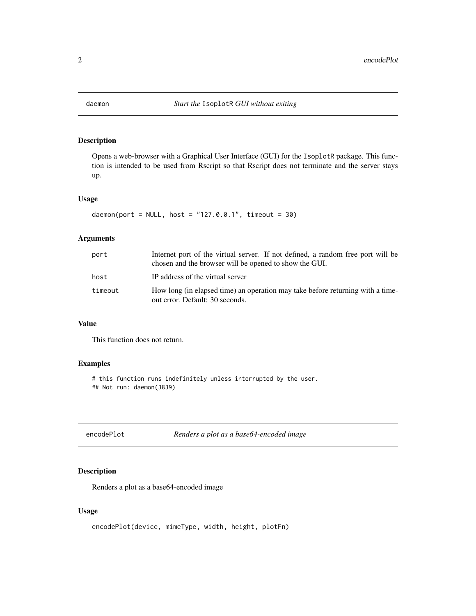<span id="page-1-0"></span>

# Description

Opens a web-browser with a Graphical User Interface (GUI) for the IsoplotR package. This function is intended to be used from Rscript so that Rscript does not terminate and the server stays up.

#### Usage

 $d$ aemon(port = NULL, host = "127.0.0.1", timeout = 30)

# Arguments

| port    | Internet port of the virtual server. If not defined, a random free port will be<br>chosen and the browser will be opened to show the GUI. |  |
|---------|-------------------------------------------------------------------------------------------------------------------------------------------|--|
| host    | IP address of the virtual server                                                                                                          |  |
| timeout | How long (in elapsed time) an operation may take before returning with a time-<br>out error. Default: 30 seconds.                         |  |

#### Value

This function does not return.

# Examples

# this function runs indefinitely unless interrupted by the user. ## Not run: daemon(3839)

encodePlot *Renders a plot as a base64-encoded image*

#### Description

Renders a plot as a base64-encoded image

#### Usage

encodePlot(device, mimeType, width, height, plotFn)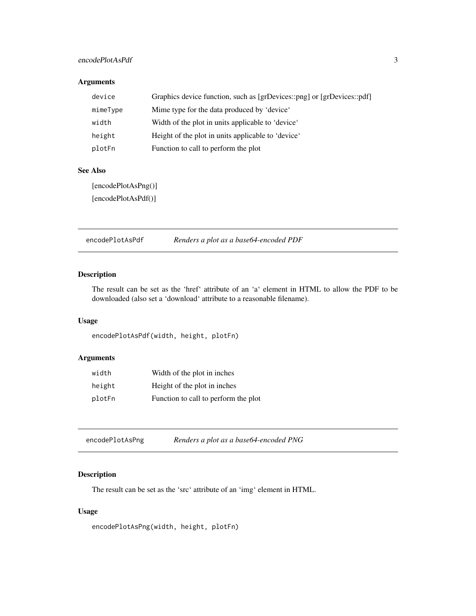#### <span id="page-2-0"></span>encodePlotAsPdf 3

# Arguments

| device   | Graphics device function, such as [grDevices::png] or [grDevices::pdf] |
|----------|------------------------------------------------------------------------|
| mimeType | Mime type for the data produced by 'device'                            |
| width    | Width of the plot in units applicable to 'device'                      |
| height   | Height of the plot in units applicable to 'device'                     |
| plotFn   | Function to call to perform the plot                                   |

#### See Also

[encodePlotAsPng()]

[encodePlotAsPdf()]

encodePlotAsPdf *Renders a plot as a base64-encoded PDF*

# Description

The result can be set as the 'href' attribute of an 'a' element in HTML to allow the PDF to be downloaded (also set a 'download' attribute to a reasonable filename).

# Usage

encodePlotAsPdf(width, height, plotFn)

# Arguments

| width  | Width of the plot in inches          |
|--------|--------------------------------------|
| height | Height of the plot in inches         |
| plotFn | Function to call to perform the plot |

| encodePlotAsPng | Renders a plot as a base64-encoded PNG |
|-----------------|----------------------------------------|
|-----------------|----------------------------------------|

# Description

The result can be set as the 'src' attribute of an 'img' element in HTML.

# Usage

encodePlotAsPng(width, height, plotFn)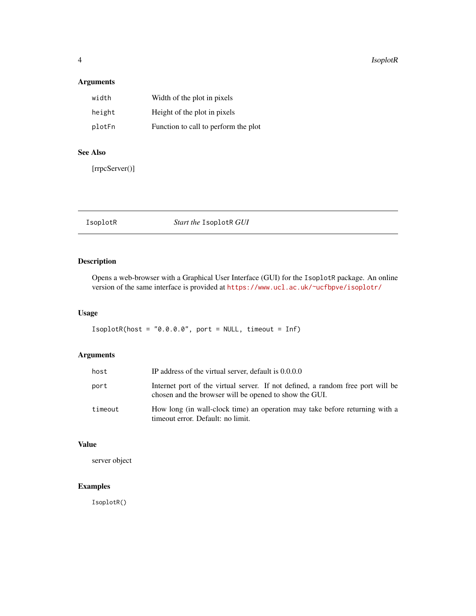#### <span id="page-3-0"></span>4 IsoplotR

# Arguments

| width  | Width of the plot in pixels          |
|--------|--------------------------------------|
| height | Height of the plot in pixels         |
| plotFn | Function to call to perform the plot |

# See Also

[rrpcServer()]

# Description

Opens a web-browser with a Graphical User Interface (GUI) for the IsoplotR package. An online version of the same interface is provided at <https://www.ucl.ac.uk/~ucfbpve/isoplotr/>

# Usage

 $Isophoth(host = "0.0.0.0", port = NULL, timeout = Inf)$ 

# Arguments

| host    | IP address of the virtual server, default is 0.0.0.0                                                                                      |
|---------|-------------------------------------------------------------------------------------------------------------------------------------------|
| port    | Internet port of the virtual server. If not defined, a random free port will be<br>chosen and the browser will be opened to show the GUI. |
| timeout | How long (in wall-clock time) an operation may take before returning with a<br>timeout error. Default: no limit.                          |

#### Value

server object

# Examples

IsoplotR()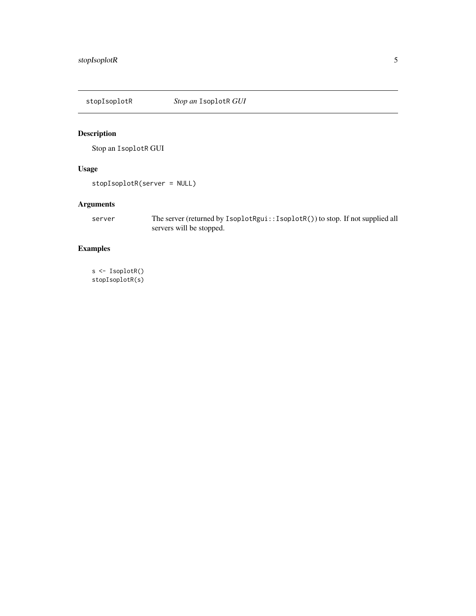<span id="page-4-0"></span>

# Description

Stop an IsoplotR GUI

# Usage

stopIsoplotR(server = NULL)

# Arguments

server The server (returned by IsoplotRgui::IsoplotR()) to stop. If not supplied all servers will be stopped.

# Examples

s <- IsoplotR() stopIsoplotR(s)